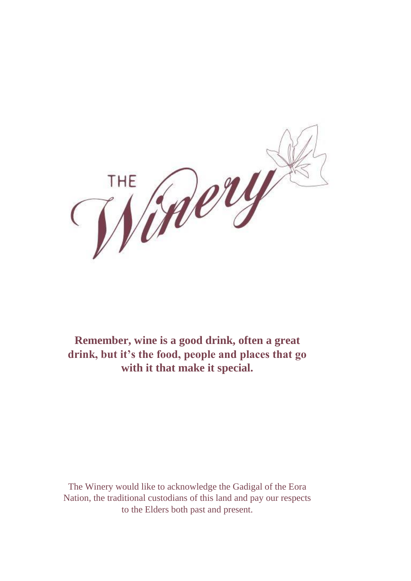

**Remember, wine is a good drink, often a great drink, but it's the food, people and places that go with it that make it special.**

The Winery would like to acknowledge the Gadigal of the Eora Nation, the traditional custodians of this land and pay our respects to the Elders both past and present.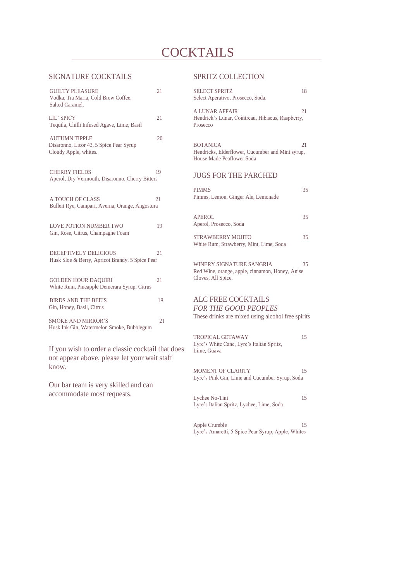# **COCKTAILS**

#### SIGNATURE COCKTAILS

| <b>GUILTY PLEASURE</b><br>Vodka, Tia Maria, Cold Brew Coffee,<br>Salted Caramel.         | 21 |
|------------------------------------------------------------------------------------------|----|
| LIL' SPICY<br>Tequila, Chilli Infused Agave, Lime, Basil                                 | 21 |
| <b>AUTUMN TIPPLE</b><br>Disaronno, Licor 43, 5 Spice Pear Syrup<br>Cloudy Apple, whites. | 20 |
| <b>CHERRY FIELDS</b><br>Aperol, Dry Vermouth, Disaronno, Cherry Bitters                  | 19 |
| A TOUCH OF CLASS<br>Bulleit Rye, Campari, Averna, Orange, Angostura                      | 21 |
| <b>LOVE POTION NUMBER TWO</b><br>Gin, Rose, Citrus, Champagne Foam                       | 19 |
| <b>DECEPTIVELY DELICIOUS</b><br>Husk Sloe & Berry, Apricot Brandy, 5 Spice Pear          | 21 |
| <b>GOLDEN HOUR DAQUIRI</b><br>White Rum, Pineapple Demerara Syrup, Citrus                | 21 |
| <b>BIRDS AND THE BEE'S</b><br>Gin, Honey, Basil, Citrus                                  | 19 |
| <b>SMOKE AND MIRROR'S</b><br>Husk Ink Gin, Watermelon Smoke, Bubblegum                   | 21 |

If you wish to order a classic cocktail that does not appear above, please let your wait staff know.

Our bar team is very skilled and can accommodate most requests.

#### SPRITZ COLLECTION

| <b>SELECT SPRITZ</b><br>Select Aperativo, Prosecco, Soda.                                                     | 18  |
|---------------------------------------------------------------------------------------------------------------|-----|
| <b>A LUNAR AFFAIR</b><br>Hendrick's Lunar, Cointreau, Hibiscus, Raspberry,<br>Prosecco                        | 2.1 |
| <b>BOTANICA</b><br>Hendricks, Elderflower, Cucumber and Mint syrup,<br>House Made Peaflower Soda              | 21  |
| <b>JUGS FOR THE PARCHED</b>                                                                                   |     |
| <b>PIMMS</b><br>Pimms, Lemon, Ginger Ale, Lemonade                                                            | 35  |
| APEROL<br>Aperol, Prosecco, Soda                                                                              | 35  |
| <b>STRAWBERRY MOJITO</b><br>White Rum, Strawberry, Mint, Lime, Soda                                           | 35  |
| <b>WINERY SIGNATURE SANGRIA</b><br>Red Wine, orange, apple, cinnamon, Honey, Anise<br>Cloves, All Spice.      | 35  |
| <b>ALC FREE COCKTAILS</b><br><b>FOR THE GOOD PEOPLES</b><br>These drinks are mixed using alcohol free spirits |     |
| TROPICAL GETAWAY<br>Lyre's White Cane, Lyre's Italian Spritz,<br>Lime, Guava                                  | 15  |

MOMENT OF CLARITY 15 Lyre's Pink Gin, Lime and Cucumber Syrup, Soda

Lychee No-Tini 15 Lyre's Italian Spritz, Lychee, Lime, Soda

Apple Crumble 15 Lyre's Amaretti, 5 Spice Pear Syrup, Apple, Whites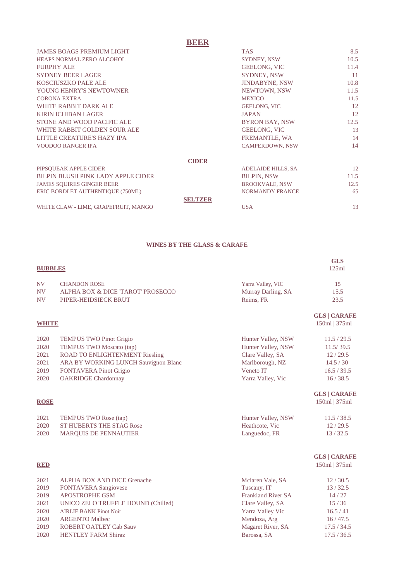## **BEER**

| <b>JAMES BOAGS PREMIUM LIGHT</b>     | <b>TAS</b>                | 8.5  |
|--------------------------------------|---------------------------|------|
| HEAPS NORMAL ZERO ALCOHOL            | <b>SYDNEY, NSW</b>        | 10.5 |
| <b>FURPHY ALE</b>                    | <b>GEELONG, VIC</b>       | 11.4 |
| <b>SYDNEY BEER LAGER</b>             | <b>SYDNEY, NSW</b>        | 11   |
| <b>KOSCIUSZKO PALE ALE</b>           | <b>JINDABYNE, NSW</b>     | 10.8 |
| YOUNG HENRY'S NEWTOWNER              | NEWTOWN, NSW              | 11.5 |
| <b>CORONA EXTRA</b>                  | <b>MEXICO</b>             | 11.5 |
| WHITE RABBIT DARK ALE                | <b>GEELONG, VIC</b>       | 12   |
| <b>KIRIN ICHIBAN LAGER</b>           | <b>JAPAN</b>              | 12   |
| STONE AND WOOD PACIFIC ALE           | <b>BYRON BAY, NSW</b>     | 12.5 |
| WHITE RABBIT GOLDEN SOUR ALE         | <b>GEELONG, VIC</b>       | 13   |
| LITTLE CREATURE'S HAZY IPA           | FREMANTLE, WA             | 14   |
| <b>VOODOO RANGER IPA</b>             | <b>CAMPERDOWN, NSW</b>    | 14   |
| <b>CIDER</b>                         |                           |      |
| PIPSOUEAK APPLE CIDER                | <b>ADELAIDE HILLS, SA</b> | 12   |
| BILPIN BLUSH PINK LADY APPLE CIDER   | <b>BILPIN, NSW</b>        | 11.5 |
| <b>JAMES SOUIRES GINGER BEER</b>     | <b>BROOKVALE, NSW</b>     | 12.5 |
| ERIC BORDLET AUTHENTIQUE (750ML)     | <b>NORMANDY FRANCE</b>    | 65   |
| <b>SELTZER</b>                       |                           |      |
| WHITE CLAW - LIME, GRAPEFRUIT, MANGO | <b>USA</b>                | 13   |

#### **WINES BY THE GLASS & CARAFE**

|                |                                      |                           | <b>GLS</b>          |
|----------------|--------------------------------------|---------------------------|---------------------|
| <b>BUBBLES</b> |                                      |                           | 125ml               |
| <b>NV</b>      | <b>CHANDON ROSE</b>                  | Yarra Valley, VIC         | 15                  |
| <b>NV</b>      | ALPHA BOX & DICE 'TAROT' PROSECCO    | Murray Darling, SA        | 15.5                |
| <b>NV</b>      | PIPER-HEIDSIECK BRUT                 | Reims, FR                 | 23.5                |
|                |                                      |                           | <b>GLS   CARAFE</b> |
| <b>WHITE</b>   |                                      |                           | 150ml   375ml       |
| 2020           | <b>TEMPUS TWO Pinot Grigio</b>       | Hunter Valley, NSW        | 11.5 / 29.5         |
| 2020           | <b>TEMPUS TWO Moscato (tap)</b>      | Hunter Valley, NSW        | 11.5/39.5           |
| 2021           | ROAD TO ENLIGHTENMENT Riesling       | Clare Valley, SA          | 12/29.5             |
| 2021           | ARA BY WORKING LUNCH Sauvignon Blanc | Marlborough, NZ           | 14.5 / 30           |
| 2019           | <b>FONTAVERA Pinot Grigio</b>        | Veneto IT                 | 16.5 / 39.5         |
| 2020           | <b>OAKRIDGE Chardonnay</b>           | Yarra Valley, Vic         | 16/38.5             |
|                |                                      |                           | <b>GLS   CARAFE</b> |
| <b>ROSE</b>    |                                      |                           | 150ml   375ml       |
| 2021           | TEMPUS TWO Rose (tap)                | Hunter Valley, NSW        | 11.5 / 38.5         |
| 2020           | <b>ST HUBERTS THE STAG Rose</b>      | Heathcote, Vic            | 12/29.5             |
| 2020           | MARQUIS DE PENNAUTIER                | Languedoc, FR             | 13/32.5             |
|                |                                      |                           | <b>GLS   CARAFE</b> |
| <b>RED</b>     |                                      |                           | 150ml   375ml       |
| 2021           | ALPHA BOX AND DICE Grenache          | Mclaren Vale, SA          | 12/30.5             |
| 2019           | <b>FONTAVERA Sangiovese</b>          | Tuscany, IT               | 13/32.5             |
| 2019           | <b>APOSTROPHE GSM</b>                | <b>Frankland River SA</b> | 14/27               |
| 2021           | UNICO ZELO TRUFFLE HOUND (Chilled)   | Clare Valley, SA          | 15/36               |
| 2020           | <b>AIRLIE BANK Pinot Noir</b>        | Yarra Valley Vic          | 16.5 / 41           |
| 2020           | <b>ARGENTO Malbec</b>                | Mendoza, Arg              | 16/47.5             |

2019 ROBERT OATLEY Cab Sauv **Magaret River, SA** 17.5 / 34.5 2020 HENTLEY FARM Shiraz Barossa, SA 17.5 / 36.5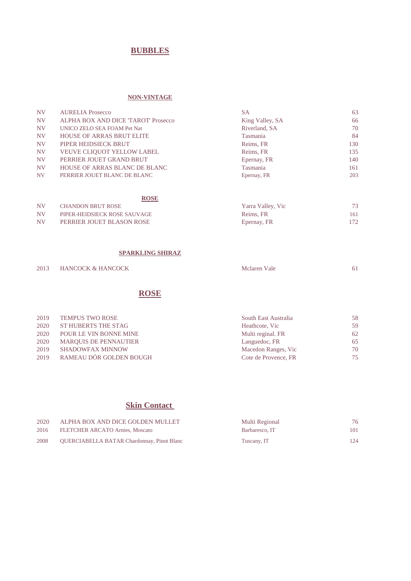## **BUBBLES**

#### **NON-VINTAGE**

| NV <sub></sub> | <b>AURELIA Prosecco</b>             | <b>SA</b>       | 63  |
|----------------|-------------------------------------|-----------------|-----|
| <b>NV</b>      | ALPHA BOX AND DICE 'TAROT' Prosecco | King Valley, SA | 66  |
| <b>NV</b>      | UNICO ZELO SEA FOAM Pet Nat         | Riverland, SA   | 70  |
| <b>NV</b>      | <b>HOUSE OF ARRAS BRUT ELITE</b>    | Tasmania        | 84  |
| <b>NV</b>      | PIPER HEIDSIECK BRUT                | Reims, FR       | 130 |
| <b>NV</b>      | <b>VEUVE CLIQUOT YELLOW LABEL</b>   | Reims, FR       | 135 |
| <b>NV</b>      | PERRIER JOUET GRAND BRUT            | Epernay, FR     | 140 |
| <b>NV</b>      | HOUSE OF ARRAS BLANC DE BLANC       | <b>Tasmania</b> | 161 |
| <b>NV</b>      | PERRIER JOUET BLANC DE BLANC        | Epernay, FR     | 203 |

|           | <b>ROSE</b>                  |                   |     |
|-----------|------------------------------|-------------------|-----|
| <b>NV</b> | <b>CHANDON BRUT ROSE</b>     | Yarra Valley, Vic | 73  |
| <b>NV</b> | PIPER-HEIDSIECK ROSE SAUVAGE | Reims, FR         | 161 |
| <b>NV</b> | PERRIER JOUET BLASON ROSE    | Epernay, FR       | 172 |

#### **SPARKLING SHIRAZ**

| 2013 | <b>HANCOCK &amp; HANCOCK</b> | Mclaren Vale |  |
|------|------------------------------|--------------|--|
|      |                              |              |  |

## **ROSE**

| 2019 | <b>TEMPUS TWO ROSE</b>       | South East Australia | 58 |
|------|------------------------------|----------------------|----|
| 2020 | ST HUBERTS THE STAG          | Heathcote, Vic       | 59 |
| 2020 | POUR LE VIN BONNE MINE       | Multi reginal. FR    | 62 |
| 2020 | <b>MARQUIS DE PENNAUTIER</b> | Languedoc, FR        | 65 |
| 2019 | <b>SHADOWFAX MINNOW</b>      | Macedon Ranges, Vic  | 70 |
| 2019 | RAMEAU DÓR GOLDEN BOUGH      | Cote de Provence, FR | 75 |

## **Skin Contact**

| 2020 | ALPHA BOX AND DICE GOLDEN MULLET           | Multi Regional |     |
|------|--------------------------------------------|----------------|-----|
| 2016 | FLETCHER ARCATO Arnies, Moscato            | Barbaresco, IT | 101 |
| 2008 | QUERCIABELLA BATAR Chardonnay, Pinot Blanc | Tuscany, IT    | 124 |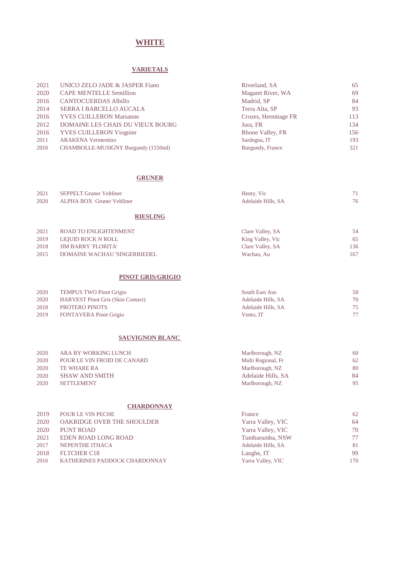### **WHITE**

#### **VARIETALS**

| 2021 | UNICO ZELO JADE & JASPER Fiano          | Riverland, SA        | 65  |
|------|-----------------------------------------|----------------------|-----|
| 2020 | <b>CAPE MENTELLE Semillion</b>          | Magaret River, WA    | 69  |
| 2016 | <b>CANTOCUERDAS Albillo</b>             | Madrid, SP           | 84  |
| 2014 | SERRA I BARCELLO AUCALA                 | Terra Alta, SP       | 93  |
| 2016 | <b>YVES CUILLERON Marsanne</b>          | Crozes, Hermitage FR | 113 |
| 2012 | <b>DOMAINE LES CHAIS DU VIEUX BOURG</b> | Jura, FR             | 134 |
| 2016 | <b>YVES CUILLERON Viognier</b>          | Rhone Valley, FR     | 156 |
| 2011 | <b>ARAKENA Vermentino</b>               | Sardegna, IT         | 193 |
| 2016 | CHAMBOLLE-MUSIGNY Burgundy (1550ml)     | Burgundy, France     | 321 |

#### **GRUNER**

|      | _ _ _ _ _ _ _ _ _ _ _           |                    |    |
|------|---------------------------------|--------------------|----|
| 2020 | ALPHA BOX Gruner Veltliner      | Adelaide Hills, SA | 76 |
| 2021 | <b>SEPPELT Gruner Veltliner</b> | Henty, Vic         | 71 |
|      |                                 |                    |    |

#### **RIESLING**

|                                                                                         | 54.                                       |
|-----------------------------------------------------------------------------------------|-------------------------------------------|
| King Valley, Vic                                                                        | 65                                        |
| Clare Valley, SA                                                                        | 136.                                      |
| Wachau, Au                                                                              | 167.                                      |
| LIOUID ROCK N ROLL<br><b>JIM BARRY 'FLORITA'</b><br><b>DOMAINE WACHAU 'SINGERRIEDEL</b> | ROAD TO ENLIGHTENMENT<br>Clare Valley, SA |

#### **PINOT GRIS/GRIGIO**

| 2020 | <b>TEMPUS TWO Pinot Grigio</b>           | South East Aus     |    |
|------|------------------------------------------|--------------------|----|
| 2020 | <b>HARVEST Pinot Gris (Skin Contact)</b> | Adelaide Hills, SA | 70 |
| 2018 | PROTERO PINOTS                           | Adelaide Hills, SA | 75 |
| 2019 | <b>FONTAVERA</b> Pinot Grigio            | Vento, IT          | 77 |

#### **SAUVIGNON BLANC**

| 2020 | ARA BY WORKING LUNCH        | Marlborough, NZ    | 60 |
|------|-----------------------------|--------------------|----|
| 2020 | POUR LE VIN FROID DE CANARD | Multi Regional, Fr | 62 |
| 2020 | TE WHARE RA                 | Marlborough, NZ    | 80 |
| 2020 | <b>SHAW AND SMITH</b>       | Adelaide Hills, SA | 84 |
| 2020 | <b>SETTLEMENT</b>           | Marlborough, NZ    | 95 |

#### **CHARDONNAY**

| 2019 | POUR LE VIN PECHE                 | France             | 62  |
|------|-----------------------------------|--------------------|-----|
| 2020 | <b>OAKRIDGE OVER THE SHOULDER</b> | Yarra Valley, VIC  | 64  |
| 2020 | PUNT ROAD                         | Yarra Valley, VIC  | 70  |
| 2021 | EDEN ROAD LONG ROAD               | Tumbarumba, NSW    | 77  |
| 2017 | NEPENTHE ITHACA                   | Adelaide Hills, SA | 81  |
| 2018 | FLTCHER C <sub>18</sub>           | Langhe, IT         | 99  |
| 2016 | KATHERINES PADDOCK CHARDONNAY     | Yarra Valley, VIC  | 170 |
|      |                                   |                    |     |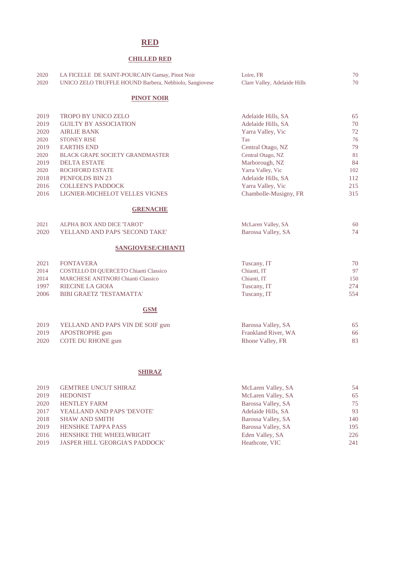#### **RED**

#### **CHILLED RED**

| 2020 | LA FICELLE DE SAINT-POURCAIN Gamay, Pinot Noir         | Loire. FR                    | 70 |
|------|--------------------------------------------------------|------------------------------|----|
| 2020 | UNICO ZELO TRUFFLE HOUND Barbera, Nebbiolo, Sangiovese | Clare Valley, Adelaide Hills | 70 |

#### **PINOT NOIR**

| 2019 | <b>TROPO BY UNICO ZELO</b>             | Adelaide Hills, SA    | 65  |
|------|----------------------------------------|-----------------------|-----|
| 2019 | <b>GUILTY BY ASSOCIATION</b>           | Adelaide Hills, SA    | 70  |
| 2020 | <b>AIRLIE BANK</b>                     | Yarra Valley, Vic     | 72  |
| 2020 | <b>STONEY RISE</b>                     | <b>Tas</b>            | 76  |
| 2019 | <b>EARTHS END</b>                      | Central Otago, NZ     | 79  |
| 2020 | <b>BLACK GRAPE SOCIETY GRANDMASTER</b> | Central Otago, NZ     | 81  |
| 2019 | <b>DELTA ESTATE</b>                    | Marborough, NZ        | 84  |
| 2020 | <b>ROCHFORD ESTATE</b>                 | Yarra Valley, Vic     | 102 |
| 2018 | PENFOLDS BIN 23                        | Adelaide Hills, SA    | 112 |
| 2016 | <b>COLLEEN'S PADDOCK</b>               | Yarra Valley, Vic     | 215 |
| 2016 | LIGNIER-MICHELOT VELLES VIGNES         | Chambolle-Musigny, FR | 315 |
|      |                                        |                       |     |

#### **GRENACHE**

| 2021 | ALPHA BOX AND DICE 'TAROT'     | McLaren Valley, SA |  |
|------|--------------------------------|--------------------|--|
| 2020 | YELLAND AND PAPS 'SECOND TAKE' | Barossa Valley, SA |  |

#### **SANGIOVESE/CHIANTI**

| 2021 | FONTAVERA                                 | Tuscany, IT | 70  |
|------|-------------------------------------------|-------------|-----|
| 2014 | COSTELLO DI QUERCETO Chianti Classico     | Chianti, IT | 97  |
| 2014 | <b>MARCHESE ANITNORI Chianti Classico</b> | Chianti, IT | 150 |
| 1997 | RIECINE LA GIOIA                          | Tuscany, IT | 274 |
| 2006 | <b>BIBI GRAETZ 'TESTAMATTA'</b>           | Tuscany, IT | 554 |
|      |                                           |             |     |

#### **GSM**

| 2019 | YELLAND AND PAPS VIN DE SOIF gsm | Barossa Valley, SA  |    |
|------|----------------------------------|---------------------|----|
| 2019 | APOSTROPHE gsm                   | Frankland River, WA | 66 |
| 2020 | COTE DU RHONE gsm                | Rhone Valley, FR    |    |

#### **SHIRAZ**

| 2019 | <b>GEMTREE UNCUT SHIRAZ</b>     | McLaren Valley, SA | 54  |
|------|---------------------------------|--------------------|-----|
| 2019 | <b>HEDONIST</b>                 | McLaren Valley, SA | 65  |
| 2020 | <b>HENTLEY FARM</b>             | Barossa Valley, SA | 75  |
| 2017 | YEALLAND AND PAPS 'DEVOTE'      | Adelaide Hills, SA | 93  |
| 2018 | <b>SHAW AND SMITH</b>           | Barossa Valley, SA | 140 |
| 2019 | <b>HENSHKE TAPPA PASS</b>       | Barossa Valley, SA | 195 |
| 2016 | HENSHKE THE WHEELWRIGHT         | Eden Valley, SA    | 226 |
| 2019 | JASPER HILL 'GEORGIA'S PADDOCK' | Heathcote, VIC     | 241 |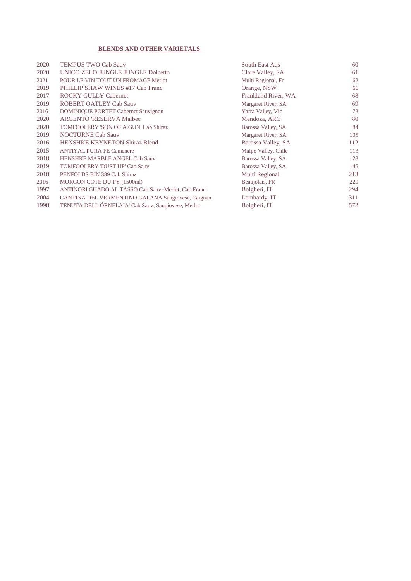#### **BLENDS AND OTHER VARIETALS**

| 2020 | <b>TEMPUS TWO Cab Sauv</b>                          | South East Aus      | 60  |
|------|-----------------------------------------------------|---------------------|-----|
| 2020 | UNICO ZELO JUNGLE JUNGLE Dolcetto                   | Clare Valley, SA    | 61  |
| 2021 | POUR LE VIN TOUT UN FROMAGE Merlot                  | Multi Regional, Fr  | 62  |
| 2019 | PHILLIP SHAW WINES #17 Cab Franc                    | Orange, NSW         | 66  |
| 2017 | <b>ROCKY GULLY Cabernet</b>                         | Frankland River, WA | 68  |
| 2019 | <b>ROBERT OATLEY Cab Sauv</b>                       | Margaret River, SA  | 69  |
| 2016 | <b>DOMINIQUE PORTET Cabernet Sauvignon</b>          | Yarra Valley, Vic   | 73  |
| 2020 | <b>ARGENTO 'RESERVA Malbec</b>                      | Mendoza, ARG        | 80  |
| 2020 | TOMFOOLERY 'SON OF A GUN' Cab Shiraz                | Barossa Valley, SA  | 84  |
| 2019 | <b>NOCTURNE Cab Sauv</b>                            | Margaret River, SA  | 105 |
| 2016 | <b>HENSHKE KEYNETON Shiraz Blend</b>                | Barossa Valley, SA  | 112 |
| 2015 | <b>ANTIYAL PURA FE Camenere</b>                     | Maipo Valley, Chile | 113 |
| 2018 | <b>HENSHKE MARBLE ANGEL Cab Sauv</b>                | Barossa Valley, SA  | 123 |
| 2019 | <b>TOMFOOLERY 'DUST UP' Cab Sauv</b>                | Barossa Valley, SA  | 145 |
| 2018 | PENFOLDS BIN 389 Cab Shiraz                         | Multi Regional      | 213 |
| 2016 | MORGON COTE DU PY (1500ml)                          | Beaujolais, FR      | 229 |
| 1997 | ANTINORI GUADO AL TASSO Cab Sauv, Merlot, Cab Franc | Bolgheri, IT        | 294 |
| 2004 | CANTINA DEL VERMENTINO GALANA Sangiovese, Caignan   | Lombardy, IT        | 311 |
| 1998 | TENUTA DELL ÓRNELAIA' Cab Sauv, Sangiovese, Merlot  | Bolgheri, IT        | 572 |
|      |                                                     |                     |     |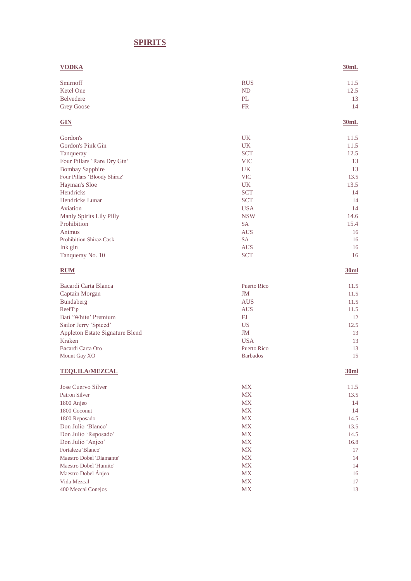## **SPIRITS**

| <b>VODKA</b>                             |                  | 30mL             |
|------------------------------------------|------------------|------------------|
| Smirnoff                                 | <b>RUS</b>       | 11.5             |
| Ketel One                                | ND               | 12.5             |
| <b>Belvedere</b>                         | PL               | 13               |
| <b>Grey Goose</b>                        | <b>FR</b>        | 14               |
| <b>GIN</b>                               |                  | 30mL             |
| Gordon's                                 | UK.              | 11.5             |
| Gordon's Pink Gin                        | UK               | 11.5             |
| Tanqueray                                | <b>SCT</b>       | 12.5             |
| Four Pillars 'Rare Dry Gin'              | <b>VIC</b>       | 13               |
| <b>Bombay Sapphire</b>                   | <b>UK</b>        | 13               |
| Four Pillars 'Bloody Shiraz'             | <b>VIC</b>       | 13.5             |
| Hayman's Sloe                            | <b>UK</b>        | 13.5             |
| Hendricks                                | <b>SCT</b>       | 14               |
| <b>Hendricks Lunar</b>                   | <b>SCT</b>       | 14               |
| Aviation                                 | <b>USA</b>       | 14               |
| Manly Spirits Lily Pilly<br>Prohibition  | <b>NSW</b>       | 14.6             |
|                                          | <b>SA</b>        | 15.4             |
| Animus<br><b>Prohibition Shiraz Cask</b> | <b>AUS</b><br>SA | 16<br>16         |
| Ink gin                                  | <b>AUS</b>       | 16               |
| Tanqueray No. 10                         | <b>SCT</b>       | 16               |
| <b>RUM</b>                               |                  | 30 <sub>ml</sub> |
| Bacardi Carta Blanca                     | Puerto Rico      | 11.5             |
| Captain Morgan                           | JM               | 11.5             |
| Bundaberg                                | <b>AUS</b>       | 11.5             |
| ReefTip                                  | <b>AUS</b>       | 11.5             |
| Bati 'White' Premium                     | FJ               | 12               |
| Sailor Jerry 'Spiced'                    | <b>US</b>        | 12.5             |
| Appleton Estate Signature Blend          | <b>JM</b>        | 13               |
| <b>Kraken</b>                            | <b>USA</b>       | 13               |
| Bacardi Carta Oro                        | Puerto Rico      | 13               |
| Mount Gay XO                             | <b>Barbados</b>  | 15               |
| <b>TEQUILA/MEZCAL</b>                    |                  | 30ml             |
| Jose Cuervo Silver                       | <b>MX</b>        | 11.5             |
| <b>Patron Silver</b>                     | <b>MX</b>        | 13.5             |
| 1800 Anjeo                               | MX               | 14               |
| 1800 Coconut                             | MX               | 14               |
| 1800 Reposado                            | <b>MX</b>        | 14.5             |
| Don Julio 'Blanco'                       | MX               | 13.5             |
| Don Julio 'Reposado'                     | MX               | 14.5             |
| Don Julio 'Anjeo'                        | <b>MX</b>        | 16.8             |
| Fortaleza 'Blanco'                       | MX               | 17               |
| Maestro Dobel 'Diamante'                 | <b>MX</b>        | 14               |
| Maestro Dobel 'Humito'                   | <b>MX</b>        | 14               |
| Maestro Dobel Ánjeo                      | MX               | 16               |
| Vida Mezcal                              | MX               | 17               |
| 400 Mezcal Conejos                       | MX               | 13               |